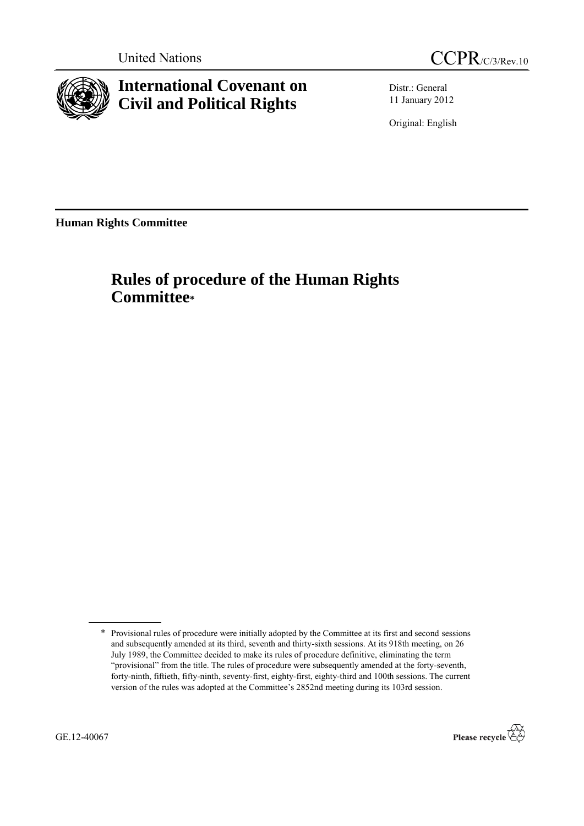



**International Covenant on Civil and Political Rights**

Distr.: General 11 January 2012

Original: English

**Human Rights Committee**

# **Rules of procedure of the Human Rights Committee\***



<sup>\*</sup> Provisional rules of procedure were initially adopted by the Committee at its first and second sessions and subsequently amended at its third, seventh and thirty-sixth sessions. At its 918th meeting, on 26 July 1989, the Committee decided to make its rules of procedure definitive, eliminating the term "provisional" from the title. The rules of procedure were subsequently amended at the forty-seventh, forty-ninth, fiftieth, fifty-ninth, seventy-first, eighty-first, eighty-third and 100th sessions. The current version of the rules was adopted at the Committee's 2852nd meeting during its 103rd session.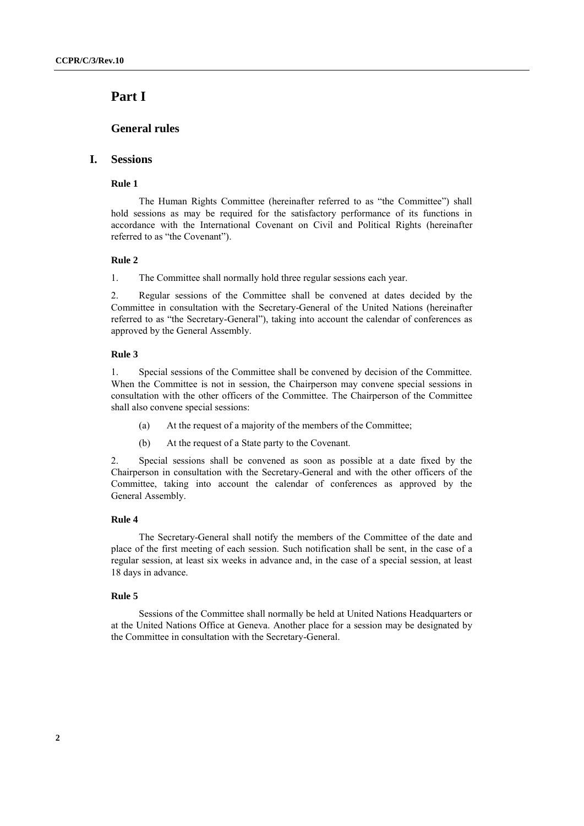# **Part I**

# **General rules**

# **I. Sessions**

### **Rule 1**

The Human Rights Committee (hereinafter referred to as "the Committee") shall hold sessions as may be required for the satisfactory performance of its functions in accordance with the International Covenant on Civil and Political Rights (hereinafter referred to as "the Covenant").

### **Rule 2**

1. The Committee shall normally hold three regular sessions each year.

2. Regular sessions of the Committee shall be convened at dates decided by the Committee in consultation with the Secretary-General of the United Nations (hereinafter referred to as "the Secretary-General"), taking into account the calendar of conferences as approved by the General Assembly.

### **Rule 3**

1. Special sessions of the Committee shall be convened by decision of the Committee. When the Committee is not in session, the Chairperson may convene special sessions in consultation with the other officers of the Committee. The Chairperson of the Committee shall also convene special sessions:

- (a) At the request of a majority of the members of the Committee;
- (b) At the request of a State party to the Covenant.

2. Special sessions shall be convened as soon as possible at a date fixed by the Chairperson in consultation with the Secretary-General and with the other officers of the Committee, taking into account the calendar of conferences as approved by the General Assembly.

### **Rule 4**

The Secretary-General shall notify the members of the Committee of the date and place of the first meeting of each session. Such notification shall be sent, in the case of a regular session, at least six weeks in advance and, in the case of a special session, at least 18 days in advance.

### **Rule 5**

Sessions of the Committee shall normally be held at United Nations Headquarters or at the United Nations Office at Geneva. Another place for a session may be designated by the Committee in consultation with the Secretary-General.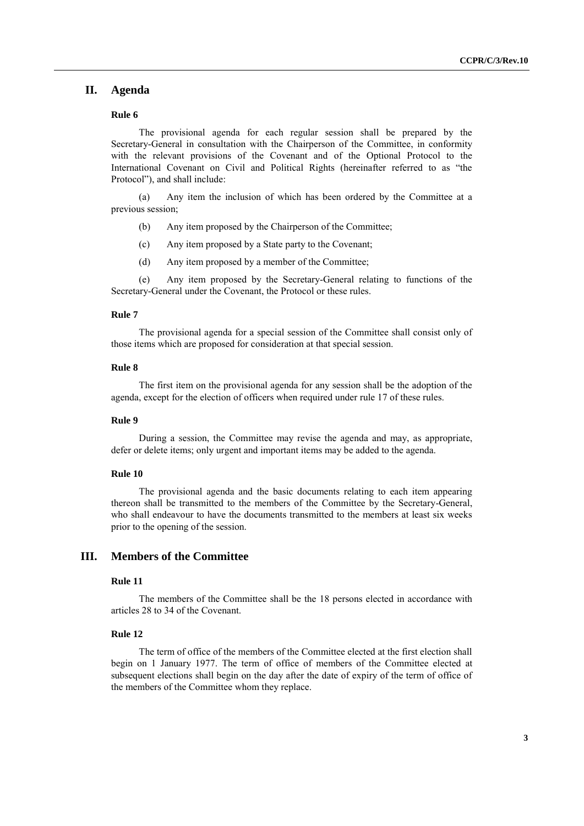# **II. Agenda**

### **Rule 6**

The provisional agenda for each regular session shall be prepared by the Secretary-General in consultation with the Chairperson of the Committee, in conformity with the relevant provisions of the Covenant and of the Optional Protocol to the International Covenant on Civil and Political Rights (hereinafter referred to as "the Protocol"), and shall include:

(a) Any item the inclusion of which has been ordered by the Committee at a previous session;

- (b) Any item proposed by the Chairperson of the Committee;
- (c) Any item proposed by a State party to the Covenant;
- (d) Any item proposed by a member of the Committee;

(e) Any item proposed by the Secretary-General relating to functions of the Secretary-General under the Covenant, the Protocol or these rules.

### **Rule 7**

The provisional agenda for a special session of the Committee shall consist only of those items which are proposed for consideration at that special session.

### **Rule 8**

The first item on the provisional agenda for any session shall be the adoption of the agenda, except for the election of officers when required under rule 17 of these rules.

#### **Rule 9**

During a session, the Committee may revise the agenda and may, as appropriate, defer or delete items; only urgent and important items may be added to the agenda.

### **Rule 10**

The provisional agenda and the basic documents relating to each item appearing thereon shall be transmitted to the members of the Committee by the Secretary-General, who shall endeavour to have the documents transmitted to the members at least six weeks prior to the opening of the session.

# **III. Members of the Committee**

### **Rule 11**

The members of the Committee shall be the 18 persons elected in accordance with articles 28 to 34 of the Covenant.

### **Rule 12**

The term of office of the members of the Committee elected at the first election shall begin on 1 January 1977. The term of office of members of the Committee elected at subsequent elections shall begin on the day after the date of expiry of the term of office of the members of the Committee whom they replace.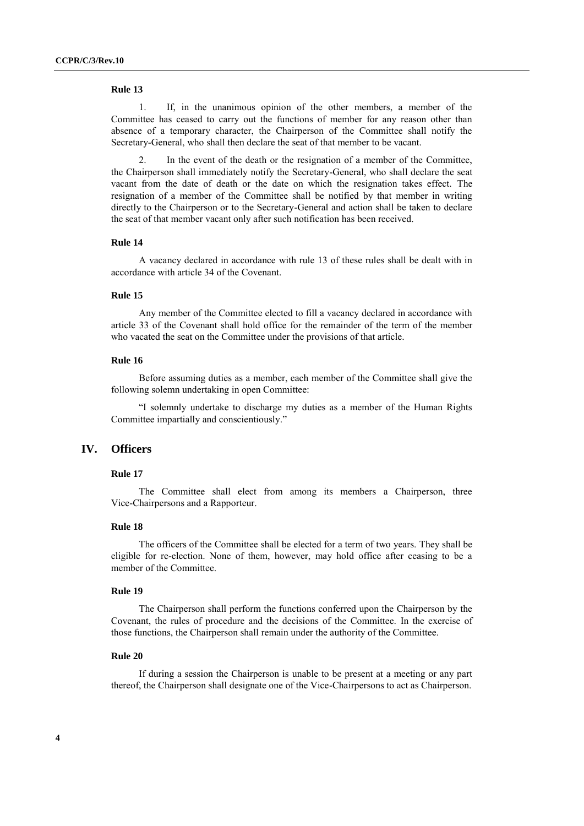1. If, in the unanimous opinion of the other members, a member of the Committee has ceased to carry out the functions of member for any reason other than absence of a temporary character, the Chairperson of the Committee shall notify the Secretary-General, who shall then declare the seat of that member to be vacant.

2. In the event of the death or the resignation of a member of the Committee, the Chairperson shall immediately notify the Secretary-General, who shall declare the seat vacant from the date of death or the date on which the resignation takes effect. The resignation of a member of the Committee shall be notified by that member in writing directly to the Chairperson or to the Secretary-General and action shall be taken to declare the seat of that member vacant only after such notification has been received.

### **Rule 14**

A vacancy declared in accordance with rule 13 of these rules shall be dealt with in accordance with article 34 of the Covenant.

# **Rule 15**

Any member of the Committee elected to fill a vacancy declared in accordance with article 33 of the Covenant shall hold office for the remainder of the term of the member who vacated the seat on the Committee under the provisions of that article.

### **Rule 16**

Before assuming duties as a member, each member of the Committee shall give the following solemn undertaking in open Committee:

"I solemnly undertake to discharge my duties as a member of the Human Rights Committee impartially and conscientiously."

### **IV. Officers**

#### **Rule 17**

The Committee shall elect from among its members a Chairperson, three Vice-Chairpersons and a Rapporteur.

### **Rule 18**

The officers of the Committee shall be elected for a term of two years. They shall be eligible for re-election. None of them, however, may hold office after ceasing to be a member of the Committee.

### **Rule 19**

The Chairperson shall perform the functions conferred upon the Chairperson by the Covenant, the rules of procedure and the decisions of the Committee. In the exercise of those functions, the Chairperson shall remain under the authority of the Committee.

#### **Rule 20**

If during a session the Chairperson is unable to be present at a meeting or any part thereof, the Chairperson shall designate one of the Vice-Chairpersons to act as Chairperson.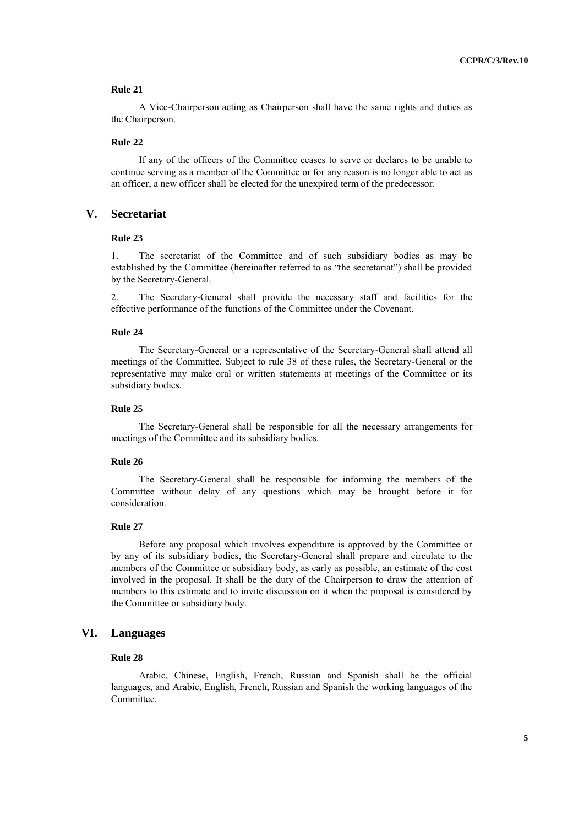A Vice-Chairperson acting as Chairperson shall have the same rights and duties as the Chairperson.

### **Rule 22**

If any of the officers of the Committee ceases to serve or declares to be unable to continue serving as a member of the Committee or for any reason is no longer able to act as an officer, a new officer shall be elected for the unexpired term of the predecessor.

# **V. Secretariat**

### **Rule 23**

1. The secretariat of the Committee and of such subsidiary bodies as may be established by the Committee (hereinafter referred to as "the secretariat") shall be provided by the Secretary-General.

2. The Secretary-General shall provide the necessary staff and facilities for the effective performance of the functions of the Committee under the Covenant.

#### **Rule 24**

The Secretary-General or a representative of the Secretary-General shall attend all meetings of the Committee. Subject to rule 38 of these rules, the Secretary-General or the representative may make oral or written statements at meetings of the Committee or its subsidiary bodies.

### **Rule 25**

The Secretary-General shall be responsible for all the necessary arrangements for meetings of the Committee and its subsidiary bodies.

### **Rule 26**

The Secretary-General shall be responsible for informing the members of the Committee without delay of any questions which may be brought before it for consideration.

### **Rule 27**

Before any proposal which involves expenditure is approved by the Committee or by any of its subsidiary bodies, the Secretary-General shall prepare and circulate to the members of the Committee or subsidiary body, as early as possible, an estimate of the cost involved in the proposal. It shall be the duty of the Chairperson to draw the attention of members to this estimate and to invite discussion on it when the proposal is considered by the Committee or subsidiary body.

# **VI. Languages**

### **Rule 28**

Arabic, Chinese, English, French, Russian and Spanish shall be the official languages, and Arabic, English, French, Russian and Spanish the working languages of the Committee.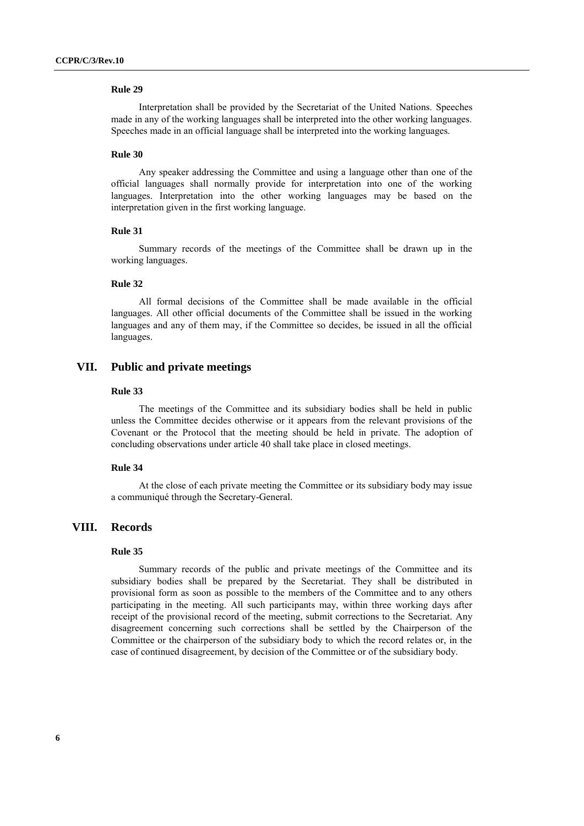Interpretation shall be provided by the Secretariat of the United Nations. Speeches made in any of the working languages shall be interpreted into the other working languages. Speeches made in an official language shall be interpreted into the working languages.

#### **Rule 30**

Any speaker addressing the Committee and using a language other than one of the official languages shall normally provide for interpretation into one of the working languages. Interpretation into the other working languages may be based on the interpretation given in the first working language.

# **Rule 31**

Summary records of the meetings of the Committee shall be drawn up in the working languages.

### **Rule 32**

All formal decisions of the Committee shall be made available in the official languages. All other official documents of the Committee shall be issued in the working languages and any of them may, if the Committee so decides, be issued in all the official languages.

# **VII. Public and private meetings**

#### **Rule 33**

The meetings of the Committee and its subsidiary bodies shall be held in public unless the Committee decides otherwise or it appears from the relevant provisions of the Covenant or the Protocol that the meeting should be held in private. The adoption of concluding observations under article 40 shall take place in closed meetings.

### **Rule 34**

At the close of each private meeting the Committee or its subsidiary body may issue a communiqué through the Secretary-General.

# **VIII. Records**

### **Rule 35**

Summary records of the public and private meetings of the Committee and its subsidiary bodies shall be prepared by the Secretariat. They shall be distributed in provisional form as soon as possible to the members of the Committee and to any others participating in the meeting. All such participants may, within three working days after receipt of the provisional record of the meeting, submit corrections to the Secretariat. Any disagreement concerning such corrections shall be settled by the Chairperson of the Committee or the chairperson of the subsidiary body to which the record relates or, in the case of continued disagreement, by decision of the Committee or of the subsidiary body.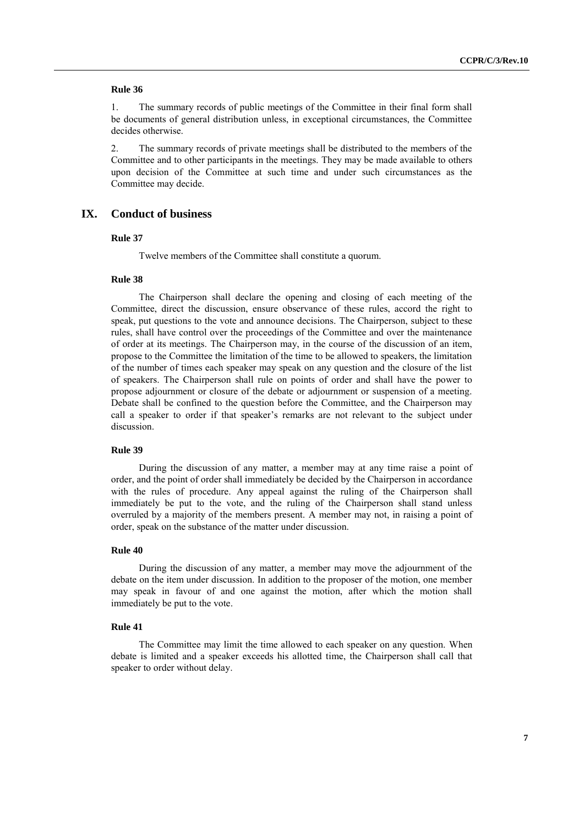1. The summary records of public meetings of the Committee in their final form shall be documents of general distribution unless, in exceptional circumstances, the Committee decides otherwise.

2. The summary records of private meetings shall be distributed to the members of the Committee and to other participants in the meetings. They may be made available to others upon decision of the Committee at such time and under such circumstances as the Committee may decide.

# **IX. Conduct of business**

#### **Rule 37**

Twelve members of the Committee shall constitute a quorum.

#### **Rule 38**

The Chairperson shall declare the opening and closing of each meeting of the Committee, direct the discussion, ensure observance of these rules, accord the right to speak, put questions to the vote and announce decisions. The Chairperson, subject to these rules, shall have control over the proceedings of the Committee and over the maintenance of order at its meetings. The Chairperson may, in the course of the discussion of an item, propose to the Committee the limitation of the time to be allowed to speakers, the limitation of the number of times each speaker may speak on any question and the closure of the list of speakers. The Chairperson shall rule on points of order and shall have the power to propose adjournment or closure of the debate or adjournment or suspension of a meeting. Debate shall be confined to the question before the Committee, and the Chairperson may call a speaker to order if that speaker's remarks are not relevant to the subject under discussion.

### **Rule 39**

During the discussion of any matter, a member may at any time raise a point of order, and the point of order shall immediately be decided by the Chairperson in accordance with the rules of procedure. Any appeal against the ruling of the Chairperson shall immediately be put to the vote, and the ruling of the Chairperson shall stand unless overruled by a majority of the members present. A member may not, in raising a point of order, speak on the substance of the matter under discussion.

#### **Rule 40**

During the discussion of any matter, a member may move the adjournment of the debate on the item under discussion. In addition to the proposer of the motion, one member may speak in favour of and one against the motion, after which the motion shall immediately be put to the vote.

#### **Rule 41**

The Committee may limit the time allowed to each speaker on any question. When debate is limited and a speaker exceeds his allotted time, the Chairperson shall call that speaker to order without delay.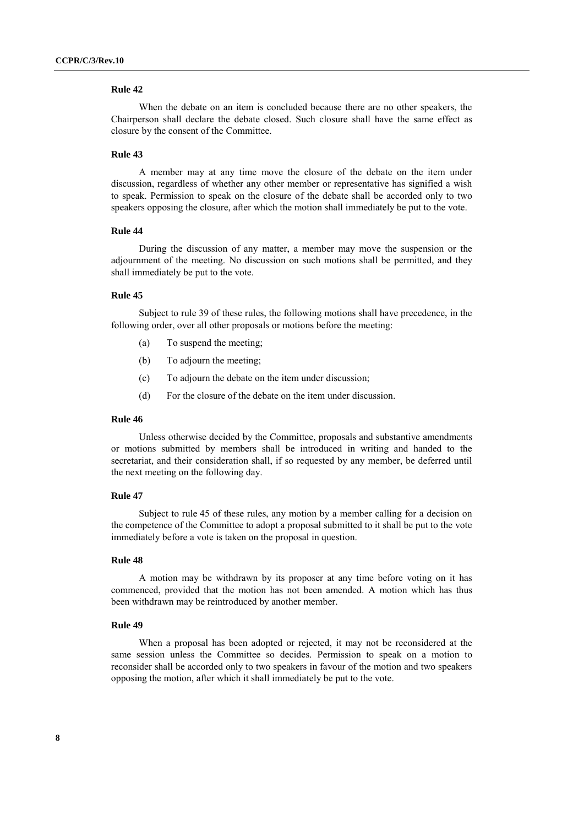When the debate on an item is concluded because there are no other speakers, the Chairperson shall declare the debate closed. Such closure shall have the same effect as closure by the consent of the Committee.

#### **Rule 43**

A member may at any time move the closure of the debate on the item under discussion, regardless of whether any other member or representative has signified a wish to speak. Permission to speak on the closure of the debate shall be accorded only to two speakers opposing the closure, after which the motion shall immediately be put to the vote.

# **Rule 44**

During the discussion of any matter, a member may move the suspension or the adjournment of the meeting. No discussion on such motions shall be permitted, and they shall immediately be put to the vote.

## **Rule 45**

Subject to rule 39 of these rules, the following motions shall have precedence, in the following order, over all other proposals or motions before the meeting:

- (a) To suspend the meeting;
- (b) To adjourn the meeting;
- (c) To adjourn the debate on the item under discussion;
- (d) For the closure of the debate on the item under discussion.

### **Rule 46**

Unless otherwise decided by the Committee, proposals and substantive amendments or motions submitted by members shall be introduced in writing and handed to the secretariat, and their consideration shall, if so requested by any member, be deferred until the next meeting on the following day.

#### **Rule 47**

Subject to rule 45 of these rules, any motion by a member calling for a decision on the competence of the Committee to adopt a proposal submitted to it shall be put to the vote immediately before a vote is taken on the proposal in question.

### **Rule 48**

A motion may be withdrawn by its proposer at any time before voting on it has commenced, provided that the motion has not been amended. A motion which has thus been withdrawn may be reintroduced by another member.

#### **Rule 49**

When a proposal has been adopted or rejected, it may not be reconsidered at the same session unless the Committee so decides. Permission to speak on a motion to reconsider shall be accorded only to two speakers in favour of the motion and two speakers opposing the motion, after which it shall immediately be put to the vote.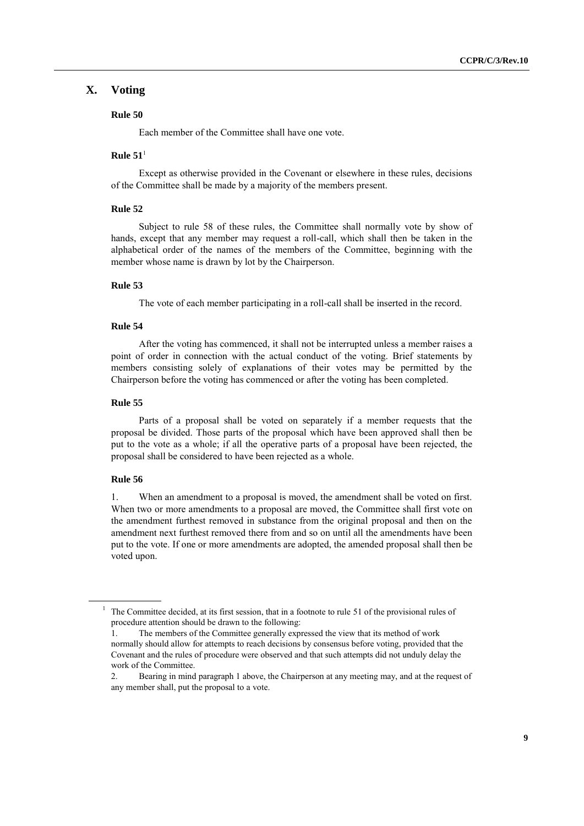# **X. Voting**

### **Rule 50**

Each member of the Committee shall have one vote.

# $Rule 51<sup>1</sup>$

Except as otherwise provided in the Covenant or elsewhere in these rules, decisions of the Committee shall be made by a majority of the members present.

### **Rule 52**

Subject to rule 58 of these rules, the Committee shall normally vote by show of hands, except that any member may request a roll-call, which shall then be taken in the alphabetical order of the names of the members of the Committee, beginning with the member whose name is drawn by lot by the Chairperson.

### **Rule 53**

The vote of each member participating in a roll-call shall be inserted in the record.

### **Rule 54**

After the voting has commenced, it shall not be interrupted unless a member raises a point of order in connection with the actual conduct of the voting. Brief statements by members consisting solely of explanations of their votes may be permitted by the Chairperson before the voting has commenced or after the voting has been completed.

## **Rule 55**

Parts of a proposal shall be voted on separately if a member requests that the proposal be divided. Those parts of the proposal which have been approved shall then be put to the vote as a whole; if all the operative parts of a proposal have been rejected, the proposal shall be considered to have been rejected as a whole.

### **Rule 56**

1. When an amendment to a proposal is moved, the amendment shall be voted on first. When two or more amendments to a proposal are moved, the Committee shall first vote on the amendment furthest removed in substance from the original proposal and then on the amendment next furthest removed there from and so on until all the amendments have been put to the vote. If one or more amendments are adopted, the amended proposal shall then be voted upon.

 $<sup>1</sup>$  The Committee decided, at its first session, that in a footnote to rule 51 of the provisional rules of</sup> procedure attention should be drawn to the following:

<sup>1.</sup> The members of the Committee generally expressed the view that its method of work normally should allow for attempts to reach decisions by consensus before voting, provided that the Covenant and the rules of procedure were observed and that such attempts did not unduly delay the work of the Committee.

<sup>2.</sup> Bearing in mind paragraph 1 above, the Chairperson at any meeting may, and at the request of any member shall, put the proposal to a vote.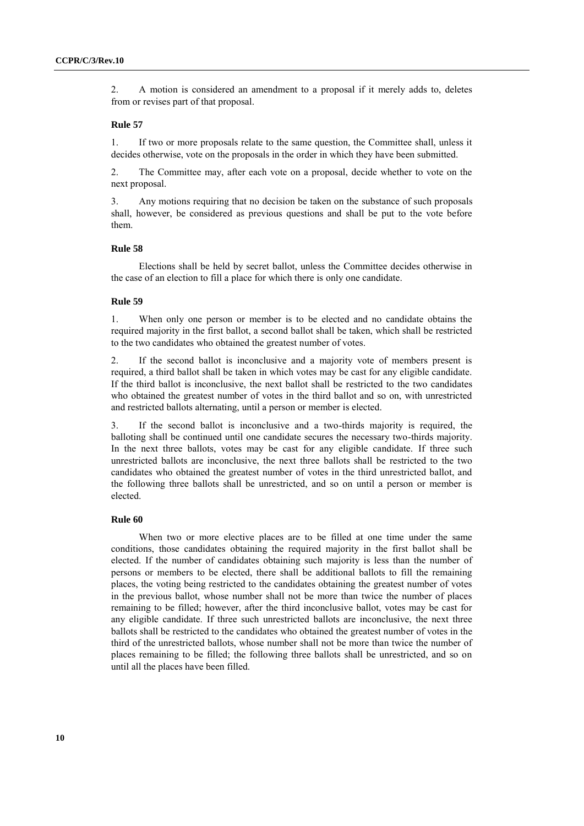2. A motion is considered an amendment to a proposal if it merely adds to, deletes from or revises part of that proposal.

### **Rule 57**

1. If two or more proposals relate to the same question, the Committee shall, unless it decides otherwise, vote on the proposals in the order in which they have been submitted.

2. The Committee may, after each vote on a proposal, decide whether to vote on the next proposal.

3. Any motions requiring that no decision be taken on the substance of such proposals shall, however, be considered as previous questions and shall be put to the vote before them.

### **Rule 58**

Elections shall be held by secret ballot, unless the Committee decides otherwise in the case of an election to fill a place for which there is only one candidate.

### **Rule 59**

1. When only one person or member is to be elected and no candidate obtains the required majority in the first ballot, a second ballot shall be taken, which shall be restricted to the two candidates who obtained the greatest number of votes.

2. If the second ballot is inconclusive and a majority vote of members present is required, a third ballot shall be taken in which votes may be cast for any eligible candidate. If the third ballot is inconclusive, the next ballot shall be restricted to the two candidates who obtained the greatest number of votes in the third ballot and so on, with unrestricted and restricted ballots alternating, until a person or member is elected.

3. If the second ballot is inconclusive and a two-thirds majority is required, the balloting shall be continued until one candidate secures the necessary two-thirds majority. In the next three ballots, votes may be cast for any eligible candidate. If three such unrestricted ballots are inconclusive, the next three ballots shall be restricted to the two candidates who obtained the greatest number of votes in the third unrestricted ballot, and the following three ballots shall be unrestricted, and so on until a person or member is elected.

#### **Rule 60**

When two or more elective places are to be filled at one time under the same conditions, those candidates obtaining the required majority in the first ballot shall be elected. If the number of candidates obtaining such majority is less than the number of persons or members to be elected, there shall be additional ballots to fill the remaining places, the voting being restricted to the candidates obtaining the greatest number of votes in the previous ballot, whose number shall not be more than twice the number of places remaining to be filled; however, after the third inconclusive ballot, votes may be cast for any eligible candidate. If three such unrestricted ballots are inconclusive, the next three ballots shall be restricted to the candidates who obtained the greatest number of votes in the third of the unrestricted ballots, whose number shall not be more than twice the number of places remaining to be filled; the following three ballots shall be unrestricted, and so on until all the places have been filled.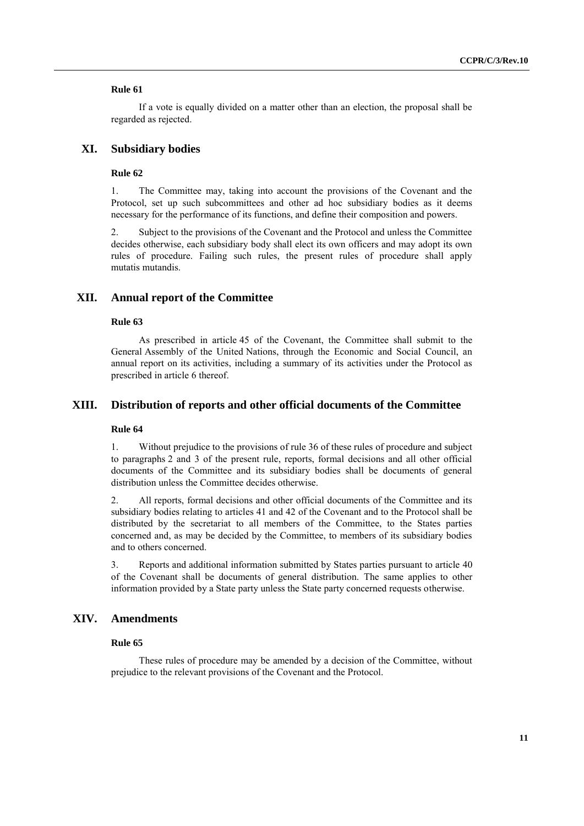If a vote is equally divided on a matter other than an election, the proposal shall be regarded as rejected.

# **XI. Subsidiary bodies**

#### **Rule 62**

1. The Committee may, taking into account the provisions of the Covenant and the Protocol, set up such subcommittees and other ad hoc subsidiary bodies as it deems necessary for the performance of its functions, and define their composition and powers.

2. Subject to the provisions of the Covenant and the Protocol and unless the Committee decides otherwise, each subsidiary body shall elect its own officers and may adopt its own rules of procedure. Failing such rules, the present rules of procedure shall apply mutatis mutandis.

## **XII. Annual report of the Committee**

#### **Rule 63**

As prescribed in article 45 of the Covenant, the Committee shall submit to the General Assembly of the United Nations, through the Economic and Social Council, an annual report on its activities, including a summary of its activities under the Protocol as prescribed in article 6 thereof.

### **XIII. Distribution of reports and other official documents of the Committee**

### **Rule 64**

1. Without prejudice to the provisions of rule 36 of these rules of procedure and subject to paragraphs 2 and 3 of the present rule, reports, formal decisions and all other official documents of the Committee and its subsidiary bodies shall be documents of general distribution unless the Committee decides otherwise.

2. All reports, formal decisions and other official documents of the Committee and its subsidiary bodies relating to articles 41 and 42 of the Covenant and to the Protocol shall be distributed by the secretariat to all members of the Committee, to the States parties concerned and, as may be decided by the Committee, to members of its subsidiary bodies and to others concerned.

3. Reports and additional information submitted by States parties pursuant to article 40 of the Covenant shall be documents of general distribution. The same applies to other information provided by a State party unless the State party concerned requests otherwise.

# **XIV. Amendments**

### **Rule 65**

These rules of procedure may be amended by a decision of the Committee, without prejudice to the relevant provisions of the Covenant and the Protocol.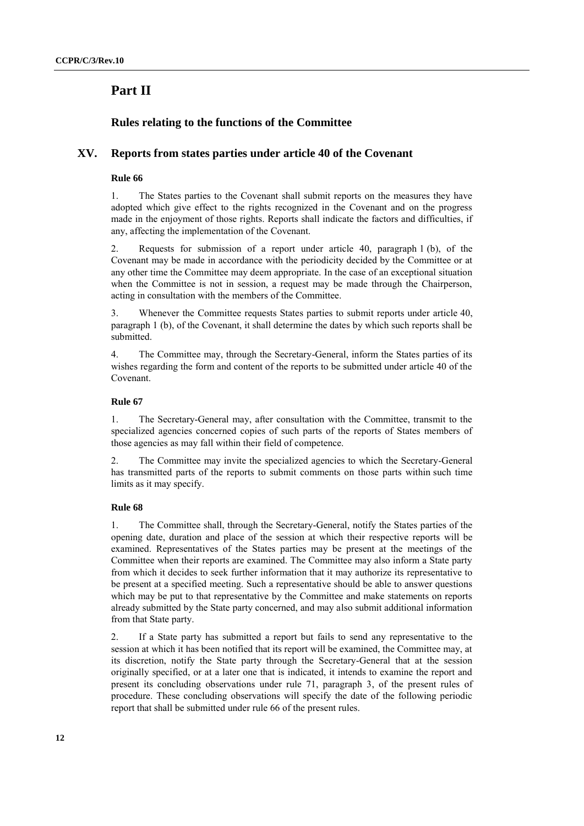# **Part II**

# **Rules relating to the functions of the Committee**

# **XV. Reports from states parties under article 40 of the Covenant**

# **Rule 66**

1. The States parties to the Covenant shall submit reports on the measures they have adopted which give effect to the rights recognized in the Covenant and on the progress made in the enjoyment of those rights. Reports shall indicate the factors and difficulties, if any, affecting the implementation of the Covenant.

2. Requests for submission of a report under article 40, paragraph 1 (b), of the Covenant may be made in accordance with the periodicity decided by the Committee or at any other time the Committee may deem appropriate. In the case of an exceptional situation when the Committee is not in session, a request may be made through the Chairperson, acting in consultation with the members of the Committee.

3. Whenever the Committee requests States parties to submit reports under article 40, paragraph 1 (b), of the Covenant, it shall determine the dates by which such reports shall be submitted.

4. The Committee may, through the Secretary-General, inform the States parties of its wishes regarding the form and content of the reports to be submitted under article 40 of the Covenant.

# **Rule 67**

1. The Secretary-General may, after consultation with the Committee, transmit to the specialized agencies concerned copies of such parts of the reports of States members of those agencies as may fall within their field of competence.

2. The Committee may invite the specialized agencies to which the Secretary-General has transmitted parts of the reports to submit comments on those parts within such time limits as it may specify.

# **Rule 68**

1. The Committee shall, through the Secretary-General, notify the States parties of the opening date, duration and place of the session at which their respective reports will be examined. Representatives of the States parties may be present at the meetings of the Committee when their reports are examined. The Committee may also inform a State party from which it decides to seek further information that it may authorize its representative to be present at a specified meeting. Such a representative should be able to answer questions which may be put to that representative by the Committee and make statements on reports already submitted by the State party concerned, and may also submit additional information from that State party.

2. If a State party has submitted a report but fails to send any representative to the session at which it has been notified that its report will be examined, the Committee may, at its discretion, notify the State party through the Secretary-General that at the session originally specified, or at a later one that is indicated, it intends to examine the report and present its concluding observations under rule 71, paragraph 3, of the present rules of procedure. These concluding observations will specify the date of the following periodic report that shall be submitted under rule 66 of the present rules.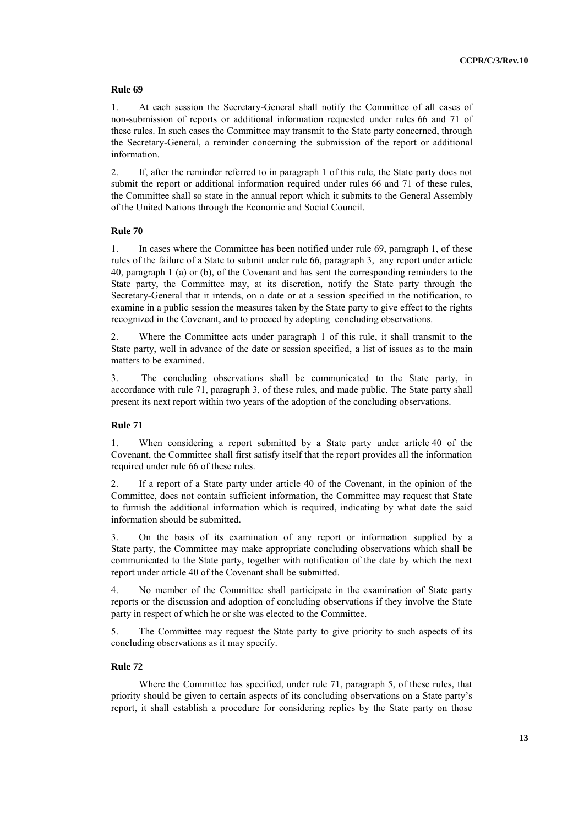1. At each session the Secretary-General shall notify the Committee of all cases of non-submission of reports or additional information requested under rules 66 and 71 of these rules. In such cases the Committee may transmit to the State party concerned, through the Secretary-General, a reminder concerning the submission of the report or additional information.

2. If, after the reminder referred to in paragraph 1 of this rule, the State party does not submit the report or additional information required under rules 66 and 71 of these rules, the Committee shall so state in the annual report which it submits to the General Assembly of the United Nations through the Economic and Social Council.

# **Rule 70**

1. In cases where the Committee has been notified under rule 69, paragraph 1, of these rules of the failure of a State to submit under rule 66, paragraph 3, any report under article 40, paragraph 1 (a) or (b), of the Covenant and has sent the corresponding reminders to the State party, the Committee may, at its discretion, notify the State party through the Secretary-General that it intends, on a date or at a session specified in the notification, to examine in a public session the measures taken by the State party to give effect to the rights recognized in the Covenant, and to proceed by adopting concluding observations.

2. Where the Committee acts under paragraph 1 of this rule, it shall transmit to the State party, well in advance of the date or session specified, a list of issues as to the main matters to be examined.

3. The concluding observations shall be communicated to the State party, in accordance with rule 71, paragraph 3, of these rules, and made public. The State party shall present its next report within two years of the adoption of the concluding observations.

# **Rule 71**

1. When considering a report submitted by a State party under article 40 of the Covenant, the Committee shall first satisfy itself that the report provides all the information required under rule 66 of these rules.

2. If a report of a State party under article 40 of the Covenant, in the opinion of the Committee, does not contain sufficient information, the Committee may request that State to furnish the additional information which is required, indicating by what date the said information should be submitted.

3. On the basis of its examination of any report or information supplied by a State party, the Committee may make appropriate concluding observations which shall be communicated to the State party, together with notification of the date by which the next report under article 40 of the Covenant shall be submitted.

4. No member of the Committee shall participate in the examination of State party reports or the discussion and adoption of concluding observations if they involve the State party in respect of which he or she was elected to the Committee.

5. The Committee may request the State party to give priority to such aspects of its concluding observations as it may specify.

### **Rule 72**

Where the Committee has specified, under rule 71, paragraph 5, of these rules, that priority should be given to certain aspects of its concluding observations on a State party's report, it shall establish a procedure for considering replies by the State party on those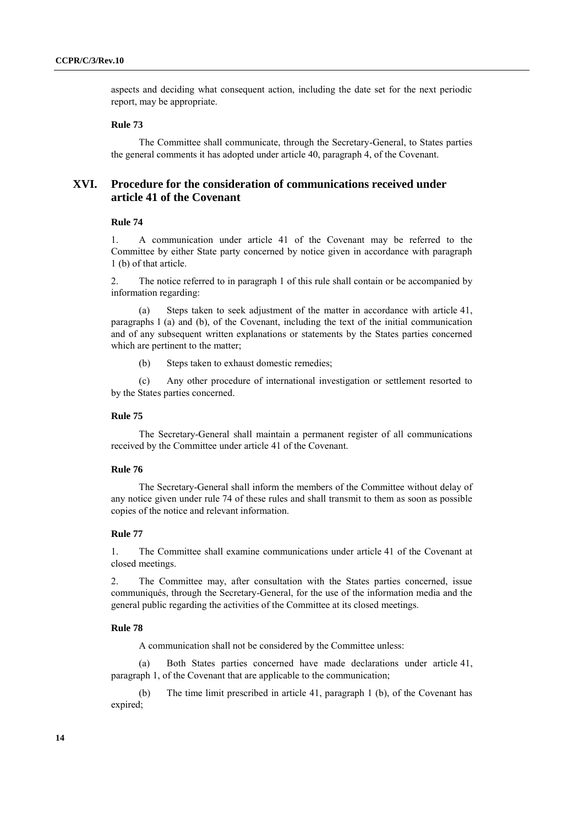aspects and deciding what consequent action, including the date set for the next periodic report, may be appropriate.

### **Rule 73**

The Committee shall communicate, through the Secretary-General, to States parties the general comments it has adopted under article 40, paragraph 4, of the Covenant.

# **XVI. Procedure for the consideration of communications received under article 41 of the Covenant**

### **Rule 74**

1. A communication under article 41 of the Covenant may be referred to the Committee by either State party concerned by notice given in accordance with paragraph 1 (b) of that article.

2. The notice referred to in paragraph 1 of this rule shall contain or be accompanied by information regarding:

(a) Steps taken to seek adjustment of the matter in accordance with article 41, paragraphs 1 (a) and (b), of the Covenant, including the text of the initial communication and of any subsequent written explanations or statements by the States parties concerned which are pertinent to the matter;

(b) Steps taken to exhaust domestic remedies;

(c) Any other procedure of international investigation or settlement resorted to by the States parties concerned.

### **Rule 75**

The Secretary-General shall maintain a permanent register of all communications received by the Committee under article 41 of the Covenant.

### **Rule 76**

The Secretary-General shall inform the members of the Committee without delay of any notice given under rule 74 of these rules and shall transmit to them as soon as possible copies of the notice and relevant information.

### **Rule 77**

1. The Committee shall examine communications under article 41 of the Covenant at closed meetings.

2. The Committee may, after consultation with the States parties concerned, issue communiqués, through the Secretary-General, for the use of the information media and the general public regarding the activities of the Committee at its closed meetings.

#### **Rule 78**

A communication shall not be considered by the Committee unless:

(a) Both States parties concerned have made declarations under article 41, paragraph 1, of the Covenant that are applicable to the communication;

(b) The time limit prescribed in article 41, paragraph 1 (b), of the Covenant has expired;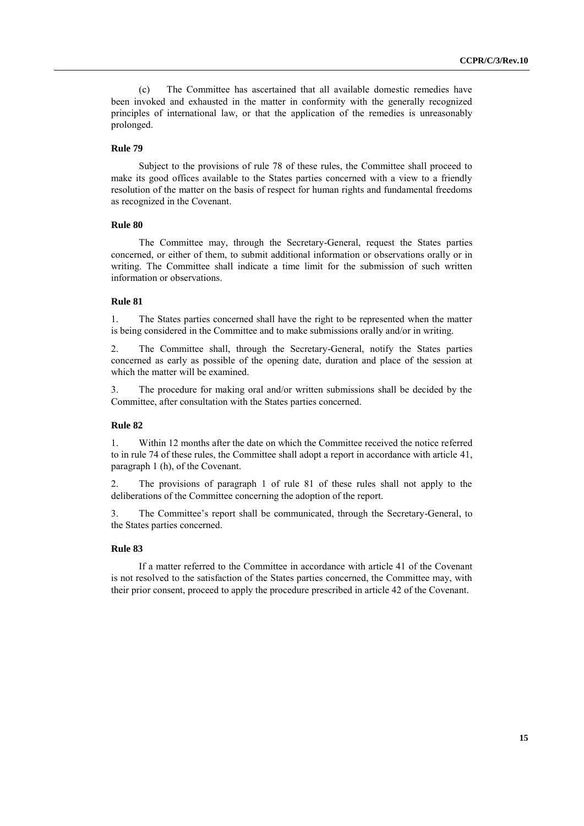(c) The Committee has ascertained that all available domestic remedies have been invoked and exhausted in the matter in conformity with the generally recognized principles of international law, or that the application of the remedies is unreasonably prolonged.

### **Rule 79**

Subject to the provisions of rule 78 of these rules, the Committee shall proceed to make its good offices available to the States parties concerned with a view to a friendly resolution of the matter on the basis of respect for human rights and fundamental freedoms as recognized in the Covenant.

### **Rule 80**

The Committee may, through the Secretary-General, request the States parties concerned, or either of them, to submit additional information or observations orally or in writing. The Committee shall indicate a time limit for the submission of such written information or observations.

### **Rule 81**

1. The States parties concerned shall have the right to be represented when the matter is being considered in the Committee and to make submissions orally and/or in writing.

2. The Committee shall, through the Secretary-General, notify the States parties concerned as early as possible of the opening date, duration and place of the session at which the matter will be examined.

3. The procedure for making oral and/or written submissions shall be decided by the Committee, after consultation with the States parties concerned.

### **Rule 82**

1. Within 12 months after the date on which the Committee received the notice referred to in rule 74 of these rules, the Committee shall adopt a report in accordance with article 41, paragraph 1 (h), of the Covenant.

2. The provisions of paragraph 1 of rule 81 of these rules shall not apply to the deliberations of the Committee concerning the adoption of the report.

3. The Committee's report shall be communicated, through the Secretary-General, to the States parties concerned.

### **Rule 83**

If a matter referred to the Committee in accordance with article 41 of the Covenant is not resolved to the satisfaction of the States parties concerned, the Committee may, with their prior consent, proceed to apply the procedure prescribed in article 42 of the Covenant.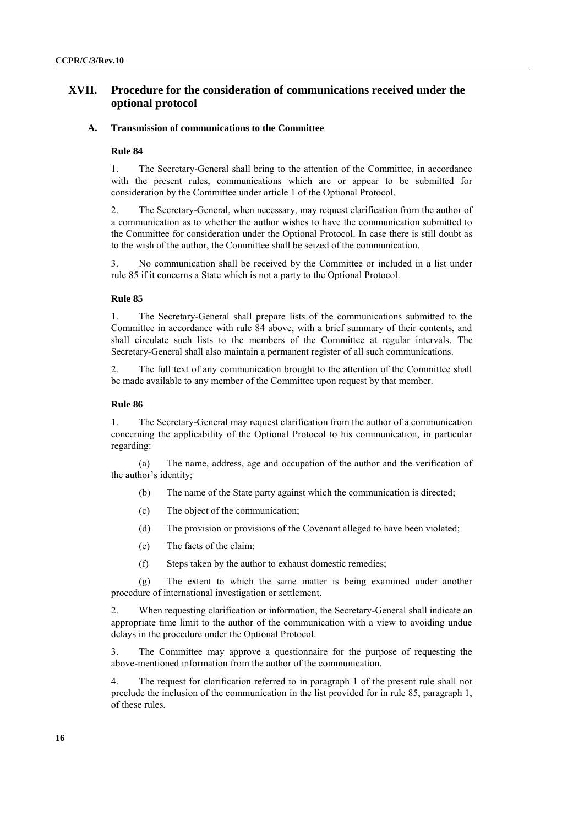# **XVII. Procedure for the consideration of communications received under the optional protocol**

### **A. Transmission of communications to the Committee**

### **Rule 84**

1. The Secretary-General shall bring to the attention of the Committee, in accordance with the present rules, communications which are or appear to be submitted for consideration by the Committee under article 1 of the Optional Protocol.

2. The Secretary-General, when necessary, may request clarification from the author of a communication as to whether the author wishes to have the communication submitted to the Committee for consideration under the Optional Protocol. In case there is still doubt as to the wish of the author, the Committee shall be seized of the communication.

3. No communication shall be received by the Committee or included in a list under rule 85 if it concerns a State which is not a party to the Optional Protocol.

### **Rule 85**

1. The Secretary-General shall prepare lists of the communications submitted to the Committee in accordance with rule 84 above, with a brief summary of their contents, and shall circulate such lists to the members of the Committee at regular intervals. The Secretary-General shall also maintain a permanent register of all such communications.

2. The full text of any communication brought to the attention of the Committee shall be made available to any member of the Committee upon request by that member.

### **Rule 86**

1. The Secretary-General may request clarification from the author of a communication concerning the applicability of the Optional Protocol to his communication, in particular regarding:

(a) The name, address, age and occupation of the author and the verification of the author's identity;

- (b) The name of the State party against which the communication is directed;
- (c) The object of the communication;
- (d) The provision or provisions of the Covenant alleged to have been violated;
- (e) The facts of the claim;
- (f) Steps taken by the author to exhaust domestic remedies;

(g) The extent to which the same matter is being examined under another procedure of international investigation or settlement.

2. When requesting clarification or information, the Secretary-General shall indicate an appropriate time limit to the author of the communication with a view to avoiding undue delays in the procedure under the Optional Protocol.

3. The Committee may approve a questionnaire for the purpose of requesting the above-mentioned information from the author of the communication.

4. The request for clarification referred to in paragraph 1 of the present rule shall not preclude the inclusion of the communication in the list provided for in rule 85, paragraph 1, of these rules.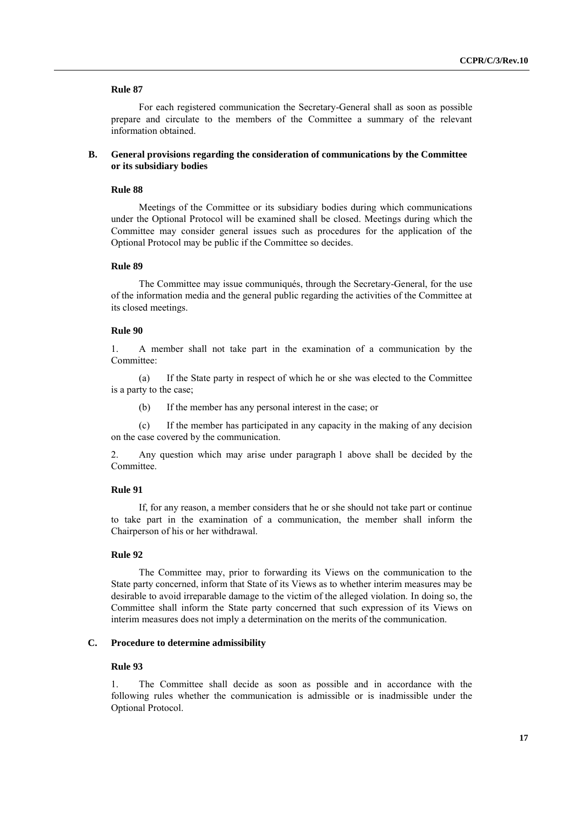For each registered communication the Secretary-General shall as soon as possible prepare and circulate to the members of the Committee a summary of the relevant information obtained.

### **B. General provisions regarding the consideration of communications by the Committee or its subsidiary bodies**

### **Rule 88**

Meetings of the Committee or its subsidiary bodies during which communications under the Optional Protocol will be examined shall be closed. Meetings during which the Committee may consider general issues such as procedures for the application of the Optional Protocol may be public if the Committee so decides.

### **Rule 89**

The Committee may issue communiqués, through the Secretary-General, for the use of the information media and the general public regarding the activities of the Committee at its closed meetings.

### **Rule 90**

1. A member shall not take part in the examination of a communication by the Committee:

(a) If the State party in respect of which he or she was elected to the Committee is a party to the case;

(b) If the member has any personal interest in the case; or

(c) If the member has participated in any capacity in the making of any decision on the case covered by the communication.

2. Any question which may arise under paragraph 1 above shall be decided by the Committee.

### **Rule 91**

If, for any reason, a member considers that he or she should not take part or continue to take part in the examination of a communication, the member shall inform the Chairperson of his or her withdrawal.

### **Rule 92**

The Committee may, prior to forwarding its Views on the communication to the State party concerned, inform that State of its Views as to whether interim measures may be desirable to avoid irreparable damage to the victim of the alleged violation. In doing so, the Committee shall inform the State party concerned that such expression of its Views on interim measures does not imply a determination on the merits of the communication.

#### **C. Procedure to determine admissibility**

### **Rule 93**

1. The Committee shall decide as soon as possible and in accordance with the following rules whether the communication is admissible or is inadmissible under the Optional Protocol.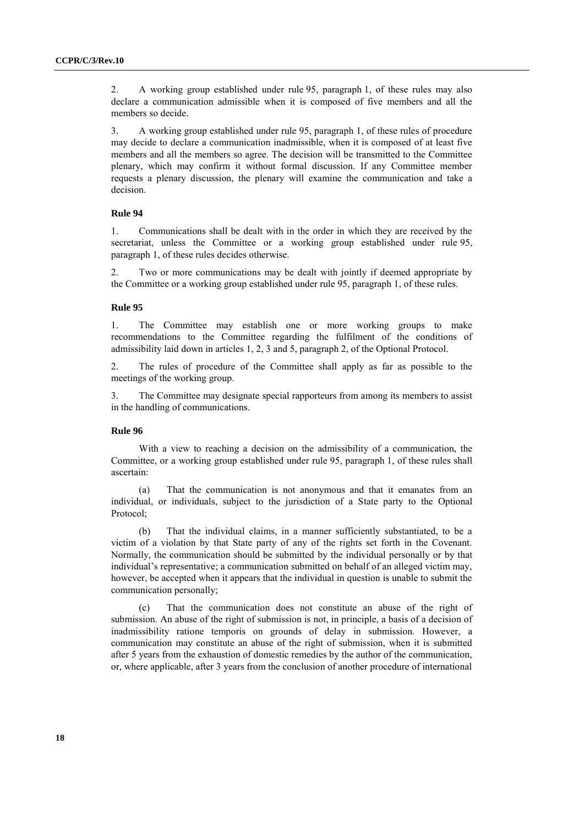2. A working group established under rule 95, paragraph 1, of these rules may also declare a communication admissible when it is composed of five members and all the members so decide.

3. A working group established under rule 95, paragraph 1, of these rules of procedure may decide to declare a communication inadmissible, when it is composed of at least five members and all the members so agree. The decision will be transmitted to the Committee plenary, which may confirm it without formal discussion. If any Committee member requests a plenary discussion, the plenary will examine the communication and take a decision.

### **Rule 94**

1. Communications shall be dealt with in the order in which they are received by the secretariat, unless the Committee or a working group established under rule 95, paragraph 1, of these rules decides otherwise.

2. Two or more communications may be dealt with jointly if deemed appropriate by the Committee or a working group established under rule 95, paragraph 1, of these rules.

### **Rule 95**

1. The Committee may establish one or more working groups to make recommendations to the Committee regarding the fulfilment of the conditions of admissibility laid down in articles 1, 2, 3 and 5, paragraph 2, of the Optional Protocol.

2. The rules of procedure of the Committee shall apply as far as possible to the meetings of the working group.

3. The Committee may designate special rapporteurs from among its members to assist in the handling of communications.

### **Rule 96**

With a view to reaching a decision on the admissibility of a communication, the Committee, or a working group established under rule 95, paragraph 1, of these rules shall ascertain:

(a) That the communication is not anonymous and that it emanates from an individual, or individuals, subject to the jurisdiction of a State party to the Optional Protocol;

(b) That the individual claims, in a manner sufficiently substantiated, to be a victim of a violation by that State party of any of the rights set forth in the Covenant. Normally, the communication should be submitted by the individual personally or by that individual's representative; a communication submitted on behalf of an alleged victim may, however, be accepted when it appears that the individual in question is unable to submit the communication personally;

That the communication does not constitute an abuse of the right of submission. An abuse of the right of submission is not, in principle, a basis of a decision of inadmissibility ratione temporis on grounds of delay in submission. However, a communication may constitute an abuse of the right of submission, when it is submitted after 5 years from the exhaustion of domestic remedies by the author of the communication, or, where applicable, after 3 years from the conclusion of another procedure of international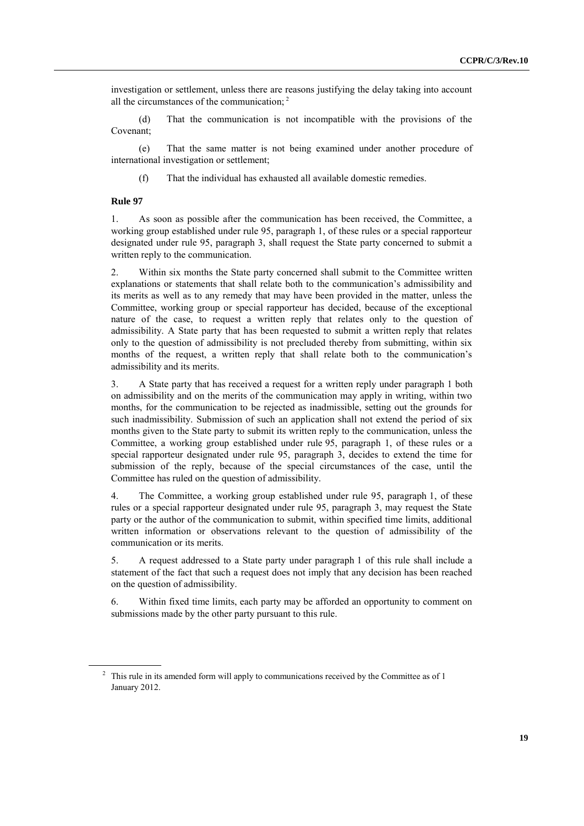investigation or settlement, unless there are reasons justifying the delay taking into account all the circumstances of the communication; <sup>2</sup>

(d) That the communication is not incompatible with the provisions of the Covenant;

(e) That the same matter is not being examined under another procedure of international investigation or settlement;

(f) That the individual has exhausted all available domestic remedies.

#### **Rule 97**

1. As soon as possible after the communication has been received, the Committee, a working group established under rule 95, paragraph 1, of these rules or a special rapporteur designated under rule 95, paragraph 3, shall request the State party concerned to submit a written reply to the communication.

2. Within six months the State party concerned shall submit to the Committee written explanations or statements that shall relate both to the communication's admissibility and its merits as well as to any remedy that may have been provided in the matter, unless the Committee, working group or special rapporteur has decided, because of the exceptional nature of the case, to request a written reply that relates only to the question of admissibility. A State party that has been requested to submit a written reply that relates only to the question of admissibility is not precluded thereby from submitting, within six months of the request, a written reply that shall relate both to the communication's admissibility and its merits.

3. A State party that has received a request for a written reply under paragraph 1 both on admissibility and on the merits of the communication may apply in writing, within two months, for the communication to be rejected as inadmissible, setting out the grounds for such inadmissibility. Submission of such an application shall not extend the period of six months given to the State party to submit its written reply to the communication, unless the Committee, a working group established under rule 95, paragraph 1, of these rules or a special rapporteur designated under rule 95, paragraph 3, decides to extend the time for submission of the reply, because of the special circumstances of the case, until the Committee has ruled on the question of admissibility.

4. The Committee, a working group established under rule 95, paragraph 1, of these rules or a special rapporteur designated under rule 95, paragraph 3, may request the State party or the author of the communication to submit, within specified time limits, additional written information or observations relevant to the question of admissibility of the communication or its merits.

5. A request addressed to a State party under paragraph 1 of this rule shall include a statement of the fact that such a request does not imply that any decision has been reached on the question of admissibility.

6. Within fixed time limits, each party may be afforded an opportunity to comment on submissions made by the other party pursuant to this rule.

<sup>&</sup>lt;sup>2</sup> This rule in its amended form will apply to communications received by the Committee as of 1 January 2012.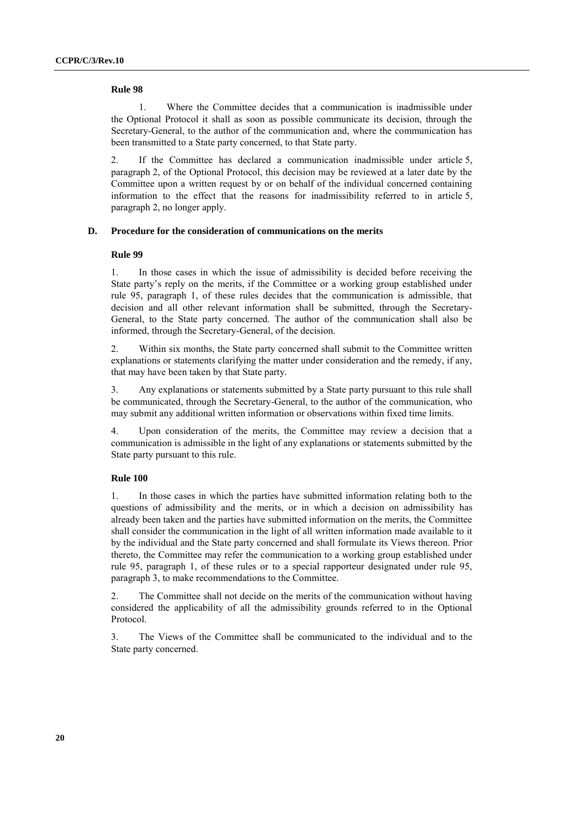1. Where the Committee decides that a communication is inadmissible under the Optional Protocol it shall as soon as possible communicate its decision, through the Secretary-General, to the author of the communication and, where the communication has been transmitted to a State party concerned, to that State party.

2. If the Committee has declared a communication inadmissible under article 5, paragraph 2, of the Optional Protocol, this decision may be reviewed at a later date by the Committee upon a written request by or on behalf of the individual concerned containing information to the effect that the reasons for inadmissibility referred to in article 5, paragraph 2, no longer apply.

### **D. Procedure for the consideration of communications on the merits**

#### **Rule 99**

1. In those cases in which the issue of admissibility is decided before receiving the State party's reply on the merits, if the Committee or a working group established under rule 95, paragraph 1, of these rules decides that the communication is admissible, that decision and all other relevant information shall be submitted, through the Secretary-General, to the State party concerned. The author of the communication shall also be informed, through the Secretary-General, of the decision.

2. Within six months, the State party concerned shall submit to the Committee written explanations or statements clarifying the matter under consideration and the remedy, if any, that may have been taken by that State party.

3. Any explanations or statements submitted by a State party pursuant to this rule shall be communicated, through the Secretary-General, to the author of the communication, who may submit any additional written information or observations within fixed time limits.

4. Upon consideration of the merits, the Committee may review a decision that a communication is admissible in the light of any explanations or statements submitted by the State party pursuant to this rule.

### **Rule 100**

1. In those cases in which the parties have submitted information relating both to the questions of admissibility and the merits, or in which a decision on admissibility has already been taken and the parties have submitted information on the merits, the Committee shall consider the communication in the light of all written information made available to it by the individual and the State party concerned and shall formulate its Views thereon. Prior thereto, the Committee may refer the communication to a working group established under rule 95, paragraph 1, of these rules or to a special rapporteur designated under rule 95, paragraph 3, to make recommendations to the Committee.

2. The Committee shall not decide on the merits of the communication without having considered the applicability of all the admissibility grounds referred to in the Optional Protocol.

3. The Views of the Committee shall be communicated to the individual and to the State party concerned.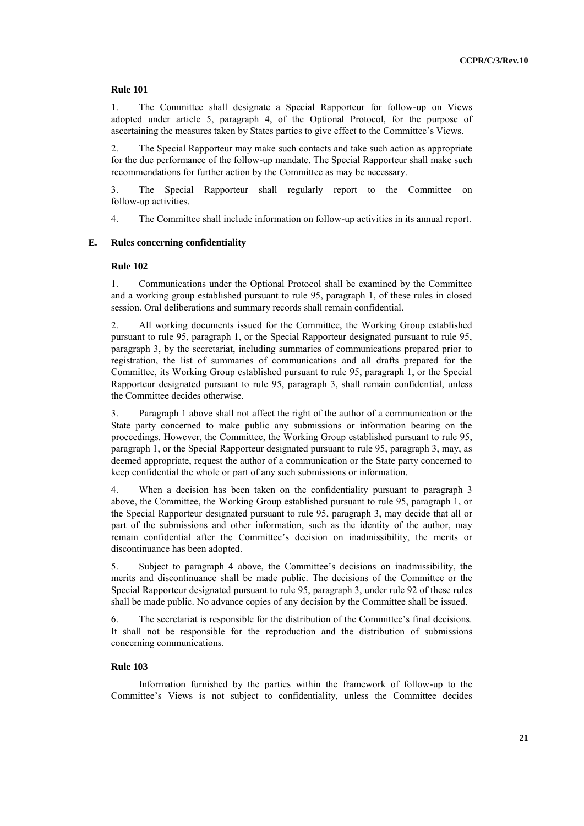1. The Committee shall designate a Special Rapporteur for follow-up on Views adopted under article 5, paragraph 4, of the Optional Protocol, for the purpose of ascertaining the measures taken by States parties to give effect to the Committee's Views.

2. The Special Rapporteur may make such contacts and take such action as appropriate for the due performance of the follow-up mandate. The Special Rapporteur shall make such recommendations for further action by the Committee as may be necessary.

3. The Special Rapporteur shall regularly report to the Committee on follow-up activities.

4. The Committee shall include information on follow-up activities in its annual report.

### **E. Rules concerning confidentiality**

### **Rule 102**

1. Communications under the Optional Protocol shall be examined by the Committee and a working group established pursuant to rule 95, paragraph 1, of these rules in closed session. Oral deliberations and summary records shall remain confidential.

2. All working documents issued for the Committee, the Working Group established pursuant to rule 95, paragraph 1, or the Special Rapporteur designated pursuant to rule 95, paragraph 3, by the secretariat, including summaries of communications prepared prior to registration, the list of summaries of communications and all drafts prepared for the Committee, its Working Group established pursuant to rule 95, paragraph 1, or the Special Rapporteur designated pursuant to rule 95, paragraph 3, shall remain confidential, unless the Committee decides otherwise.

3. Paragraph 1 above shall not affect the right of the author of a communication or the State party concerned to make public any submissions or information bearing on the proceedings. However, the Committee, the Working Group established pursuant to rule 95, paragraph 1, or the Special Rapporteur designated pursuant to rule 95, paragraph 3, may, as deemed appropriate, request the author of a communication or the State party concerned to keep confidential the whole or part of any such submissions or information.

4. When a decision has been taken on the confidentiality pursuant to paragraph 3 above, the Committee, the Working Group established pursuant to rule 95, paragraph 1, or the Special Rapporteur designated pursuant to rule 95, paragraph 3, may decide that all or part of the submissions and other information, such as the identity of the author, may remain confidential after the Committee's decision on inadmissibility, the merits or discontinuance has been adopted.

5. Subject to paragraph 4 above, the Committee's decisions on inadmissibility, the merits and discontinuance shall be made public. The decisions of the Committee or the Special Rapporteur designated pursuant to rule 95, paragraph 3, under rule 92 of these rules shall be made public. No advance copies of any decision by the Committee shall be issued.

6. The secretariat is responsible for the distribution of the Committee's final decisions. It shall not be responsible for the reproduction and the distribution of submissions concerning communications.

### **Rule 103**

Information furnished by the parties within the framework of follow-up to the Committee's Views is not subject to confidentiality, unless the Committee decides